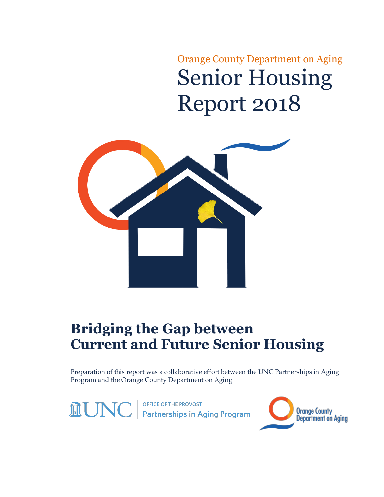Orange County Department on Aging Senior Housing Report 2018



# **Bridging the Gap between Current and Future Senior Housing**

Preparation of this report was a collaborative effort between the UNC Partnerships in Aging Program and the Orange County Department on Aging

OFFICE OF THE PROVOST<br>**Partnerships in Aging Program MUNC** 

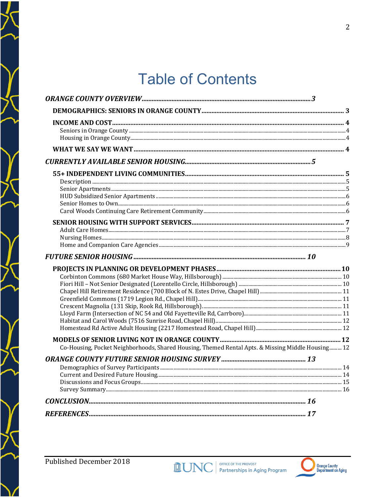# **Table of Contents**

| Co-Housing, Pocket Neighborhoods, Shared Housing, Themed Rental Apts. & Missing Middle Housing 12 |  |
|---------------------------------------------------------------------------------------------------|--|
|                                                                                                   |  |
|                                                                                                   |  |
|                                                                                                   |  |

 $\bigg)$ 

ブ

)<br>)

7

Ž

)<br>/

 $\sum_{i=1}^{n}$ 

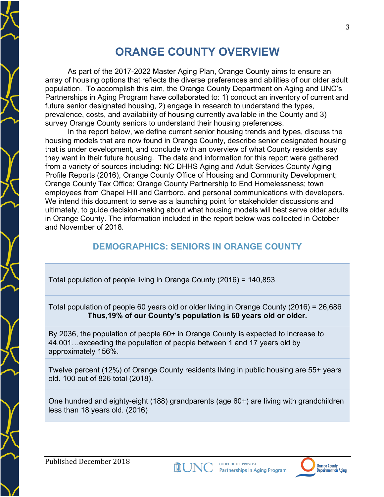## **ORANGE COUNTY OVERVIEW**

As part of the 2017-2022 Master Aging Plan, Orange County aims to ensure an array of housing options that reflects the diverse preferences and abilities of our older adult population. To accomplish this aim, the Orange County Department on Aging and UNC's Partnerships in Aging Program have collaborated to: 1) conduct an inventory of current and future senior designated housing, 2) engage in research to understand the types, prevalence, costs, and availability of housing currently available in the County and 3) survey Orange County seniors to understand their housing preferences.

In the report below, we define current senior housing trends and types, discuss the housing models that are now found in Orange County, describe senior designated housing that is under development, and conclude with an overview of what County residents say they want in their future housing. The data and information for this report were gathered from a variety of sources including: NC DHHS Aging and Adult Services County Aging Profile Reports (2016), Orange County Office of Housing and Community Development; Orange County Tax Office; Orange County Partnership to End Homelessness; town employees from Chapel Hill and Carrboro, and personal communications with developers. We intend this document to serve as a launching point for stakeholder discussions and ultimately, to guide decision-making about what housing models will best serve older adults in Orange County. The information included in the report below was collected in October and November of 2018.

#### **DEMOGRAPHICS: SENIORS IN ORANGE COUNTY**

Total population of people living in Orange County (2016) = 140,853

Total population of people 60 years old or older living in Orange County (2016) = 26,686 **Thus,19% of our County's population is 60 years old or older.**

By 2036, the population of people 60+ in Orange County is expected to increase to 44,001…exceeding the population of people between 1 and 17 years old by approximately 156%.

Twelve percent (12%) of Orange County residents living in public housing are 55+ years old. 100 out of 826 total (2018).

One hundred and eighty-eight (188) grandparents (age 60+) are living with grandchildren less than 18 years old. (2016)



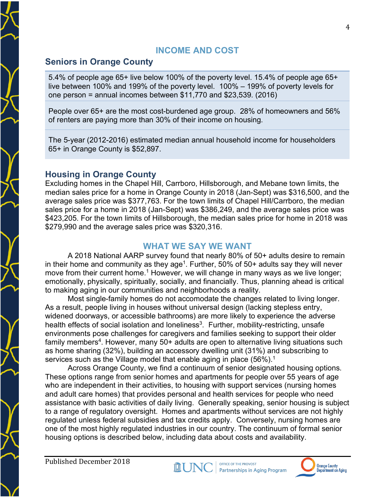#### **INCOME AND COST**

#### **Seniors in Orange County**

5.4% of people age 65+ live below 100% of the poverty level. 15.4% of people age 65+ live between 100% and 199% of the poverty level. 100% – 199% of poverty levels for one person = annual incomes between \$11,770 and \$23,539. (2016)

People over 65+ are the most cost-burdened age group. 28% of homeowners and 56% of renters are paying more than 30% of their income on housing.

The 5-year (2012-2016) estimated median annual household income for householders 65+ in Orange County is \$52,897.

#### **Housing in Orange County**

Excluding homes in the Chapel Hill, Carrboro, Hillsborough, and Mebane town limits, the median sales price for a home in Orange County in 2018 (Jan-Sept) was \$316,500, and the average sales price was \$377,763. For the town limits of Chapel Hill/Carrboro, the median sales price for a home in 2018 (Jan-Sept) was \$386,249, and the average sales price was \$423,205. For the town limits of Hillsborough, the median sales price for home in 2018 was \$279,990 and the average sales price was \$320,316.

#### **WHAT WE SAY WE WANT**

A 2018 National AARP survey found that nearly 80% of 50+ adults desire to remain in their home and community as they age<sup>1</sup>. Further, 50% of 50+ adults say they will never move from their current home.<sup>1</sup> However, we will change in many ways as we live longer; emotionally, physically, spiritually, socially, and financially. Thus, planning ahead is critical to making aging in our communities and neighborhoods a reality.

Most single-family homes do not accomodate the changes related to living longer. As a result, people living in houses without universal design (lacking stepless entry, widened doorways, or accessible bathrooms) are more likely to experience the adverse health effects of social isolation and loneliness<sup>3</sup>. Further, mobility-restricting, unsafe environments pose challenges for caregivers and families seeking to support their older family members<sup>4</sup>. However, many  $50+$  adults are open to alternative living situations such as home sharing (32%), building an accessory dwelling unit (31%) and subscribing to services such as the Village model that enable aging in place  $(56\%)$ .<sup>1</sup>

Across Orange County, we find a continuum of senior designated housing options. These options range from senior homes and apartments for people over 55 years of age who are independent in their activities, to housing with support services (nursing homes and adult care homes) that provides personal and health services for people who need assistance with basic activities of daily living. Generally speaking, senior housing is subject to a range of regulatory oversight. Homes and apartments without services are not highly regulated unless federal subsidies and tax credits apply. Conversely, nursing homes are one of the most highly regulated industries in our country. The continuum of formal senior housing options is described below, including data about costs and availability.

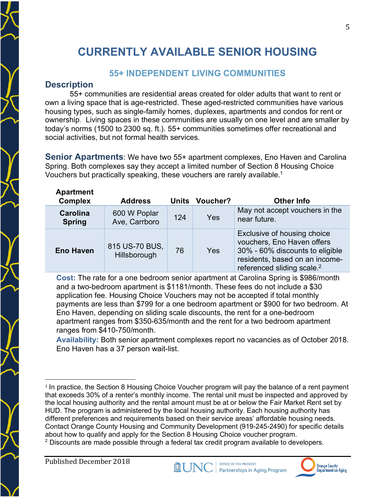## **CURRENTLY AVAILABLE SENIOR HOUSING**

#### **55+ INDEPENDENT LIVING COMMUNITIES**

#### **Description**

55+ communities are residential areas created for older adults that want to rent or own a living space that is age-restricted. These aged-restricted communities have various housing types, such as single-family homes, duplexes, apartments and condos for rent or ownership. Living spaces in these communities are usually on one level and are smaller by today's norms (1500 to 2300 sq. ft.). 55+ communities sometimes offer recreational and social activities, but not formal health services.

**Senior Apartments**: We have two 55+ apartment complexes, Eno Haven and Carolina Spring. Both complexes say they accept a limited number of Section 8 Housing Choice Vouchers but practically speaking, these vouchers are rarely available.1

| <b>Apartment</b><br><b>Complex</b> | <b>Address</b>                 | Units | <b>Voucher?</b> | <b>Other Info</b>                                                                                                                                                        |
|------------------------------------|--------------------------------|-------|-----------------|--------------------------------------------------------------------------------------------------------------------------------------------------------------------------|
| <b>Carolina</b><br><b>Spring</b>   | 600 W Poplar<br>Ave, Carrboro  | 124   | <b>Yes</b>      | May not accept vouchers in the<br>near future.                                                                                                                           |
| <b>Eno Haven</b>                   | 815 US-70 BUS,<br>Hillsborough | 76    | Yes             | Exclusive of housing choice<br>vouchers, Eno Haven offers<br>30% - 60% discounts to eligible<br>residents, based on an income-<br>referenced sliding scale. <sup>2</sup> |

**Cost:** The rate for a one bedroom senior apartment at Carolina Spring is \$986/month and a two-bedroom apartment is \$1181/month. These fees do not include a \$30 application fee. Housing Choice Vouchers may not be accepted if total monthly payments are less than \$799 for a one bedroom apartment or \$900 for two bedroom. At Eno Haven, depending on sliding scale discounts, the rent for a one-bedroom apartment ranges from \$350-635/month and the rent for a two bedroom apartment ranges from \$410-750/month.

**Availability:** Both senior apartment complexes report no vacancies as of October 2018. Eno Haven has a 37 person wait-list.

 $<sup>2</sup>$  Discounts are made possible through a federal tax credit program available to developers.</sup>



 <sup>1</sup> In practice, the Section 8 Housing Choice Voucher program will pay the balance of a rent payment that exceeds 30% of a renter's monthly income. The rental unit must be inspected and approved by the local housing authority and the rental amount must be at or below the Fair Market Rent set by HUD. The program is administered by the local housing authority. Each housing authority has different preferences and requirements based on their service areas' affordable housing needs. Contact Orange County Housing and Community Development (919-245-2490) for specific details about how to qualify and apply for the Section 8 Housing Choice voucher program.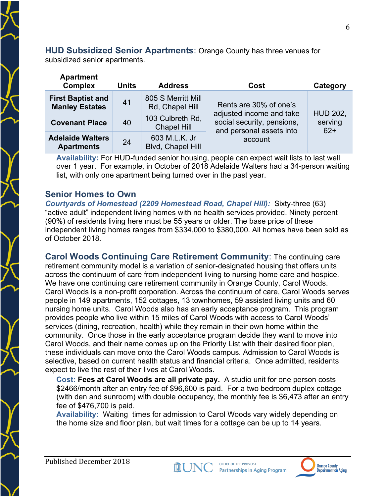**HUD Subsidized Senior Apartments**: Orange County has three venues for subsidized senior apartments.

| <b>Apartment</b><br><b>Complex</b>                | <b>Units</b> | <b>Address</b>                         | Cost                                                   | Category         |
|---------------------------------------------------|--------------|----------------------------------------|--------------------------------------------------------|------------------|
| <b>First Baptist and</b><br><b>Manley Estates</b> | 41           | 805 S Merritt Mill<br>Rd, Chapel Hill  | Rents are 30% of one's<br>adjusted income and take     | <b>HUD 202,</b>  |
| <b>Covenant Place</b>                             | 40           | 103 Culbreth Rd,<br><b>Chapel Hill</b> | social security, pensions,<br>and personal assets into | serving<br>$62+$ |
| <b>Adelaide Walters</b><br><b>Apartments</b>      | 24           | 603 M.L.K. Jr<br>Blvd, Chapel Hill     | account                                                |                  |

**Availability:** For HUD-funded senior housing, people can expect wait lists to last well over 1 year. For example, in October of 2018 Adelaide Walters had a 34-person waiting list, with only one apartment being turned over in the past year.

#### **Senior Homes to Own**

*Courtyards of Homestead (2209 Homestead Road, Chapel Hill):* Sixty-three (63) "active adult" independent living homes with no health services provided. Ninety percent (90%) of residents living here must be 55 years or older. The base price of these independent living homes ranges from \$334,000 to \$380,000. All homes have been sold as of October 2018.

**Carol Woods Continuing Care Retirement Community**: The continuing care retirement community model is a variation of senior-designated housing that offers units across the continuum of care from independent living to nursing home care and hospice. We have one continuing care retirement community in Orange County, Carol Woods. Carol Woods is a non-profit corporation. Across the continuum of care, Carol Woods serves people in 149 apartments, 152 cottages, 13 townhomes, 59 assisted living units and 60 nursing home units. Carol Woods also has an early acceptance program. This program provides people who live within 15 miles of Carol Woods with access to Carol Woods' services (dining, recreation, health) while they remain in their own home within the community. Once those in the early acceptance program decide they want to move into Carol Woods, and their name comes up on the Priority List with their desired floor plan, these individuals can move onto the Carol Woods campus. Admission to Carol Woods is selective, based on current health status and financial criteria. Once admitted, residents expect to live the rest of their lives at Carol Woods.

**Cost: Fees at Carol Woods are all private pay.** A studio unit for one person costs \$2466/month after an entry fee of \$96,600 is paid. For a two bedroom duplex cottage (with den and sunroom) with double occupancy, the monthly fee is \$6,473 after an entry fee of \$476,700 is paid.

**Availability:** Waiting times for admission to Carol Woods vary widely depending on the home size and floor plan, but wait times for a cottage can be up to 14 years.

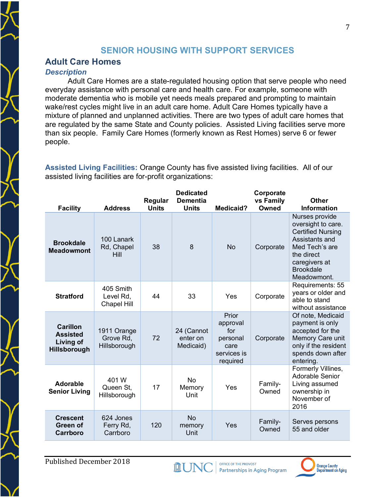#### **SENIOR HOUSING WITH SUPPORT SERVICES**

#### **Adult Care Homes**

#### *Description*

Adult Care Homes are a state-regulated housing option that serve people who need everyday assistance with personal care and health care. For example, someone with moderate dementia who is mobile yet needs meals prepared and prompting to maintain wake/rest cycles might live in an adult care home. Adult Care Homes typically have a mixture of planned and unplanned activities. There are two types of adult care homes that are regulated by the same State and County policies. Assisted Living facilities serve more than six people. Family Care Homes (formerly known as Rest Homes) serve 6 or fewer people.

**Assisted Living Facilities:** Orange County has five assisted living facilities. All of our assisted living facilities are for-profit organizations:

| <b>Facility</b>                                                        | <b>Address</b>                           | Regular<br><b>Units</b> | <b>Dedicated</b><br><b>Dementia</b><br><b>Units</b> | <b>Medicaid?</b>                                                        | Corporate<br>vs Family<br>Owned | <b>Other</b><br><b>Information</b>                                                                                                                                     |
|------------------------------------------------------------------------|------------------------------------------|-------------------------|-----------------------------------------------------|-------------------------------------------------------------------------|---------------------------------|------------------------------------------------------------------------------------------------------------------------------------------------------------------------|
| <b>Brookdale</b><br><b>Meadowmont</b>                                  | 100 Lanark<br>Rd, Chapel<br>Hill         | 38                      | 8                                                   | <b>No</b>                                                               | Corporate                       | Nurses provide<br>oversight to care.<br><b>Certified Nursing</b><br>Assistants and<br>Med Tech's are<br>the direct<br>caregivers at<br><b>Brookdale</b><br>Meadowmont. |
| <b>Stratford</b>                                                       | 405 Smith<br>Level Rd,<br>Chapel Hill    | 44                      | 33                                                  | Yes                                                                     | Corporate                       | Requirements: 55<br>years or older and<br>able to stand<br>without assistance                                                                                          |
| <b>Carillon</b><br><b>Assisted</b><br>Living of<br><b>Hillsborough</b> | 1911 Orange<br>Grove Rd,<br>Hillsborough | 72                      | 24 (Cannot<br>enter on<br>Medicaid)                 | Prior<br>approval<br>for<br>personal<br>care<br>services is<br>required | Corporate                       | Of note, Medicaid<br>payment is only<br>accepted for the<br>Memory Care unit<br>only if the resident<br>spends down after<br>entering.                                 |
| <b>Adorable</b><br><b>Senior Living</b>                                | 401 W<br>Queen St,<br>Hillsborough       | 17                      | <b>No</b><br>Memory<br>Unit                         | Yes                                                                     | Family-<br>Owned                | Formerly Villines,<br>Adorable Senior<br>Living assumed<br>ownership in<br>November of<br>2016                                                                         |
| <b>Crescent</b><br>Green of<br>Carrboro                                | 624 Jones<br>Ferry Rd,<br>Carrboro       | 120                     | <b>No</b><br>memory<br>Unit                         | Yes                                                                     | Family-<br>Owned                | Serves persons<br>55 and older                                                                                                                                         |



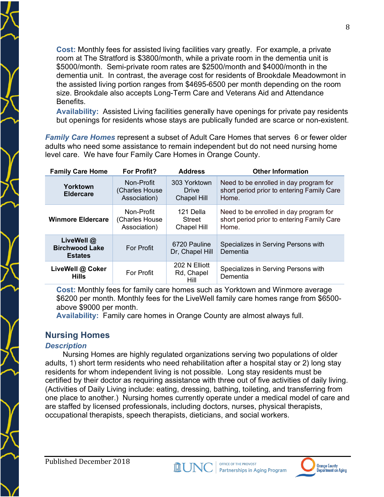**Cost:** Monthly fees for assisted living facilities vary greatly. For example, a private room at The Stratford is \$3800/month, while a private room in the dementia unit is \$5000/month. Semi-private room rates are \$2500/month and \$4000/month in the dementia unit. In contrast, the average cost for residents of Brookdale Meadowmont in the assisted living portion ranges from \$4695-6500 per month depending on the room size. Brookdale also accepts Long-Term Care and Veterans Aid and Attendance Benefits.

**Availability:** Assisted Living facilities generally have openings for private pay residents but openings for residents whose stays are publically funded are scarce or non-existent.

*Family Care Homes* represent a subset of Adult Care Homes that serves 6 or fewer older adults who need some assistance to remain independent but do not need nursing home level care. We have four Family Care Homes in Orange County.

| <b>Family Care Home</b>                               | <b>For Profit?</b>                           | <b>Address</b>                              | <b>Other Information</b>                                                                      |
|-------------------------------------------------------|----------------------------------------------|---------------------------------------------|-----------------------------------------------------------------------------------------------|
| Yorktown<br><b>Eldercare</b>                          | Non-Profit<br>(Charles House<br>Association) | 303 Yorktown<br>Drive<br><b>Chapel Hill</b> | Need to be enrolled in day program for<br>short period prior to entering Family Care<br>Home. |
| <b>Winmore Eldercare</b>                              | Non-Profit<br>(Charles House<br>Association) | 121 Della<br>Street<br><b>Chapel Hill</b>   | Need to be enrolled in day program for<br>short period prior to entering Family Care<br>Home. |
| LiveWell @<br><b>Birchwood Lake</b><br><b>Estates</b> | <b>For Profit</b>                            | 6720 Pauline<br>Dr, Chapel Hill             | Specializes in Serving Persons with<br>Dementia                                               |
| LiveWell @ Coker<br><b>Hills</b>                      | <b>For Profit</b>                            | 202 N Elliott<br>Rd, Chapel<br>Hill         | Specializes in Serving Persons with<br>Dementia                                               |

**Cost:** Monthly fees for family care homes such as Yorktown and Winmore average \$6200 per month. Monthly fees for the LiveWell family care homes range from \$6500 above \$9000 per month.

**Availability:** Family care homes in Orange County are almost always full.

#### **Nursing Homes**

#### *Description*

Nursing Homes are highly regulated organizations serving two populations of older adults, 1) short term residents who need rehabilitation after a hospital stay or 2) long stay residents for whom independent living is not possible. Long stay residents must be certified by their doctor as requiring assistance with three out of five activities of daily living. (Activities of Daily Living include: eating, dressing, bathing, toileting, and transferring from one place to another.) Nursing homes currently operate under a medical model of care and are staffed by licensed professionals, including doctors, nurses, physical therapists, occupational therapists, speech therapists, dieticians, and social workers.



8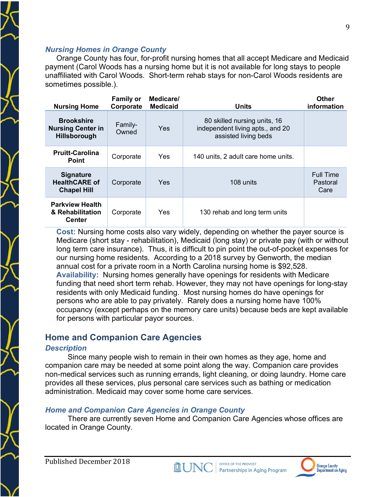#### *Nursing Homes in Orange County*

Orange County has four, for-profit nursing homes that all accept Medicare and Medicaid payment (Carol Woods has a nursing home but it is not available for long stays to people unaffiliated with Carol Woods. Short-term rehab stays for non-Carol Woods residents are sometimes possible.).

| <b>Nursing Home</b>                                                  | <b>Family or</b><br>Corporate | Medicare/<br><b>Medicaid</b> | <b>Units</b>                                                                             | <b>Other</b><br>information          |
|----------------------------------------------------------------------|-------------------------------|------------------------------|------------------------------------------------------------------------------------------|--------------------------------------|
| <b>Brookshire</b><br><b>Nursing Center in</b><br><b>Hillsborough</b> | Family-<br>Owned              | Yes                          | 80 skilled nursing units, 16<br>independent living apts., and 20<br>assisted living beds |                                      |
| <b>Pruitt-Carolina</b><br>Point                                      | Corporate                     | Yes                          | 140 units, 2 adult care home units.                                                      |                                      |
| <b>Signature</b><br><b>HealthCARE of</b><br><b>Chapel Hill</b>       | Corporate                     | <b>Yes</b>                   | 108 units                                                                                | <b>Full Time</b><br>Pastoral<br>Care |
| <b>Parkview Health</b><br>& Rehabilitation<br><b>Center</b>          | Corporate                     | Yes                          | 130 rehab and long term units                                                            |                                      |

**Cost:** Nursing home costs also vary widely, depending on whether the payer source is Medicare (short stay - rehabilitation), Medicaid (long stay) or private pay (with or without long term care insurance). Thus, it is difficult to pin point the out-of-pocket expenses for our nursing home residents. According to a 2018 survey by Genworth, the median annual cost for a private room in a North Carolina nursing home is \$92,528. **Availability:** Nursing homes generally have openings for residents with Medicare funding that need short term rehab. However, they may not have openings for long-stay residents with only Medicaid funding. Most nursing homes do have openings for persons who are able to pay privately. Rarely does a nursing home have 100% occupancy (except perhaps on the memory care units) because beds are kept available for persons with particular payor sources.

#### **Home and Companion Care Agencies**

#### *Description*

Since many people wish to remain in their own homes as they age, home and companion care may be needed at some point along the way. Companion care provides non-medical services such as running errands, light cleaning, or doing laundry. Home care provides all these services, plus personal care services such as bathing or medication administration. Medicaid may cover some home care services.

#### *Home and Companion Care Agencies in Orange County*

There are currently seven Home and Companion Care Agencies whose offices are located in Orange County.

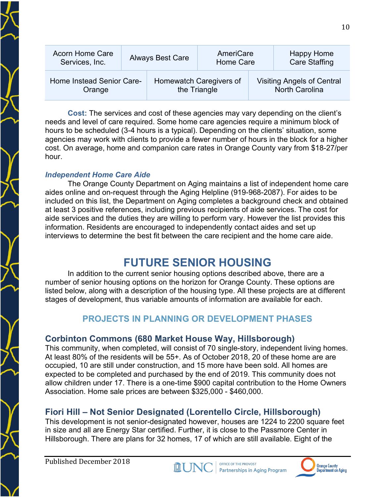| <b>Acorn Home Care</b>              | <b>Always Best Care</b> |  | AmeriCare                               |  | <b>Happy Home</b>                                          |
|-------------------------------------|-------------------------|--|-----------------------------------------|--|------------------------------------------------------------|
| Services, Inc.                      |                         |  | Home Care                               |  | <b>Care Staffing</b>                                       |
| Home Instead Senior Care-<br>Orange |                         |  | Homewatch Caregivers of<br>the Triangle |  | <b>Visiting Angels of Central</b><br><b>North Carolina</b> |

**Cost:** The services and cost of these agencies may vary depending on the client's needs and level of care required. Some home care agencies require a minimum block of hours to be scheduled (3-4 hours is a typical). Depending on the clients' situation, some agencies may work with clients to provide a fewer number of hours in the block for a higher cost. On average, home and companion care rates in Orange County vary from \$18-27/per hour.

#### *Independent Home Care Aide*

The Orange County Department on Aging maintains a list of independent home care aides online and on-request through the Aging Helpline (919-968-2087). For aides to be included on this list, the Department on Aging completes a background check and obtained at least 3 positive references, including previous recipients of aide services. The cost for aide services and the duties they are willing to perform vary. However the list provides this information. Residents are encouraged to independently contact aides and set up interviews to determine the best fit between the care recipient and the home care aide.

## **FUTURE SENIOR HOUSING**

In addition to the current senior housing options described above, there are a number of senior housing options on the horizon for Orange County. These options are listed below, along with a description of the housing type. All these projects are at different stages of development, thus variable amounts of information are available for each.

#### **PROJECTS IN PLANNING OR DEVELOPMENT PHASES**

#### **Corbinton Commons (680 Market House Way, Hillsborough)**

This community, when completed, will consist of 70 single-story, independent living homes. At least 80% of the residents will be 55+. As of October 2018, 20 of these home are are occupied, 10 are still under construction, and 15 more have been sold. All homes are expected to be completed and purchased by the end of 2019. This community does not allow children under 17. There is a one-time \$900 capital contribution to the Home Owners Association. Home sale prices are between \$325,000 - \$460,000.

## **Fiori Hill – Not Senior Designated (Lorentello Circle, Hillsborough)**

This development is not senior-designated however, houses are 1224 to 2200 square feet in size and all are Energy Star certified. Further, it is close to the Passmore Center in Hillsborough. There are plans for 32 homes, 17 of which are still available. Eight of the

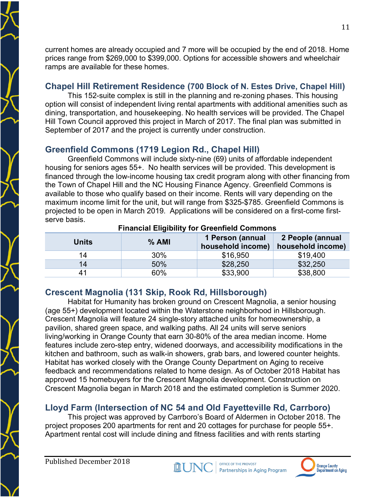current homes are already occupied and 7 more will be occupied by the end of 2018. Home prices range from \$269,000 to \$399,000. Options for accessible showers and wheelchair ramps are available for these homes.

## **Chapel Hill Retirement Residence (700 Block of N. Estes Drive, Chapel Hill)**

This 152-suite complex is still in the planning and re-zoning phases. This housing option will consist of independent living rental apartments with additional amenities such as dining, transportation, and housekeeping. No health services will be provided. The Chapel Hill Town Council approved this project in March of 2017. The final plan was submitted in September of 2017 and the project is currently under construction.

## **Greenfield Commons (1719 Legion Rd., Chapel Hill)**

Greenfield Commons will include sixty-nine (69) units of affordable independent housing for seniors ages 55+. No health services will be provided. This development is financed through the low-income housing tax credit program along with other financing from the Town of Chapel Hill and the NC Housing Finance Agency. Greenfield Commons is available to those who qualify based on their income. Rents will vary depending on the maximum income limit for the unit, but will range from \$325-\$785. Greenfield Commons is projected to be open in March 2019. Applications will be considered on a first-come firstserve basis.

| <b>Units</b> | % AMI  | 1 Person (annual<br>household income) | 2 People (annual<br>household income) |
|--------------|--------|---------------------------------------|---------------------------------------|
| 14           | $30\%$ | \$16,950                              | \$19,400                              |
| 14           | 50%    | \$28,250                              | \$32,250                              |
| 41           | 60%    | \$33,900                              | \$38,800                              |

#### **Financial Eligibility for Greenfield Commons**

#### **Crescent Magnolia (131 Skip, Rook Rd, Hillsborough)**

Habitat for Humanity has broken ground on Crescent Magnolia, a senior housing (age 55+) development located within the Waterstone neighborhood in Hillsborough. Crescent Magnolia will feature 24 single-story attached units for homeownership, a pavilion, shared green space, and walking paths. All 24 units will serve seniors living/working in Orange County that earn 30-80% of the area median income. Home features include zero-step entry, widened doorways, and accessibility modifications in the kitchen and bathroom, such as walk-in showers, grab bars, and lowered counter heights. Habitat has worked closely with the Orange County Department on Aging to receive feedback and recommendations related to home design. As of October 2018 Habitat has approved 15 homebuyers for the Crescent Magnolia development. Construction on Crescent Magnolia began in March 2018 and the estimated completion is Summer 2020.

## **Lloyd Farm (Intersection of NC 54 and Old Fayetteville Rd, Carrboro)**

This project was approved by Carrboro's Board of Aldermen in October 2018. The project proposes 200 apartments for rent and 20 cottages for purchase for people 55+. Apartment rental cost will include dining and fitness facilities and with rents starting

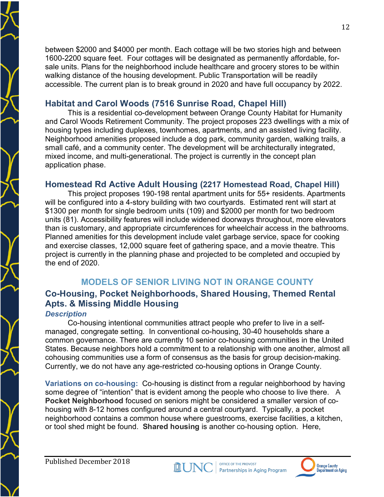between \$2000 and \$4000 per month. Each cottage will be two stories high and between 1600-2200 square feet. Four cottages will be designated as permanently affordable, forsale units. Plans for the neighborhood include healthcare and grocery stores to be within walking distance of the housing development. Public Transportation will be readily accessible. The current plan is to break ground in 2020 and have full occupancy by 2022.

#### **Habitat and Carol Woods (7516 Sunrise Road, Chapel Hill)**

This is a residential co-development between Orange County Habitat for Humanity and Carol Woods Retirement Community. The project proposes 223 dwellings with a mix of housing types including duplexes, townhomes, apartments, and an assisted living facility. Neighborhood amenities proposed include a dog park, community garden, walking trails, a small café, and a community center. The development will be architecturally integrated, mixed income, and multi-generational. The project is currently in the concept plan application phase.

#### **Homestead Rd Active Adult Housing (2217 Homestead Road, Chapel Hill)**

This project proposes 190-198 rental apartment units for 55+ residents. Apartments will be configured into a 4-story building with two courtyards. Estimated rent will start at \$1300 per month for single bedroom units (109) and \$2000 per month for two bedroom units (81). Accessibility features will include widened doorways throughout, more elevators than is customary, and appropriate circumferences for wheelchair access in the bathrooms. Planned amenities for this development include valet garbage service, space for cooking and exercise classes, 12,000 square feet of gathering space, and a movie theatre. This project is currently in the planning phase and projected to be completed and occupied by the end of 2020.

## **MODELS OF SENIOR LIVING NOT IN ORANGE COUNTY**

## **Co-Housing, Pocket Neighborhoods, Shared Housing, Themed Rental Apts. & Missing Middle Housing**

#### *Description*

Co-housing intentional communities attract people who prefer to live in a selfmanaged, congregate setting. In conventional co-housing, 30-40 households share a common governance. There are currently 10 senior co-housing communities in the United States. Because neighbors hold a commitment to a relationship with one another, almost all cohousing communities use a form of consensus as the basis for group decision-making. Currently, we do not have any age-restricted co-housing options in Orange County.

**Variations on co-housing:** Co-housing is distinct from a regular neighborhood by having some degree of "intention" that is evident among the people who choose to live there. A **Pocket Neighborhood** focused on seniors might be considered a smaller version of cohousing with 8-12 homes configured around a central courtyard. Typically, a pocket neighborhood contains a common house where guestrooms, exercise facilities, a kitchen, or tool shed might be found. **Shared housing** is another co-housing option. Here,

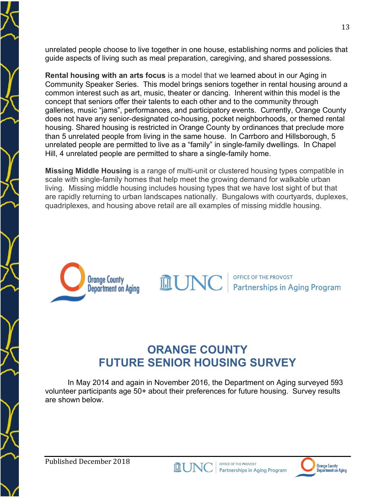unrelated people choose to live together in one house, establishing norms and policies that guide aspects of living such as meal preparation, caregiving, and shared possessions.

**Rental housing with an arts focus** is a model that we learned about in our Aging in Community Speaker Series. This model brings seniors together in rental housing around a common interest such as art, music, theater or dancing. Inherent within this model is the concept that seniors offer their talents to each other and to the community through galleries, music "jams", performances, and participatory events. Currently, Orange County does not have any senior-designated co-housing, pocket neighborhoods, or themed rental housing. Shared housing is restricted in Orange County by ordinances that preclude more than 5 unrelated people from living in the same house. In Carrboro and Hillsborough, 5 unrelated people are permitted to live as a "family" in single-family dwellings. In Chapel Hill, 4 unrelated people are permitted to share a single-family home.

**Missing Middle Housing** is a range of multi-unit or clustered housing types compatible in scale with single-family homes that help meet the growing demand for walkable urban living. Missing middle housing includes housing types that we have lost sight of but that are rapidly returning to urban landscapes nationally. Bungalows with courtyards, duplexes, quadriplexes, and housing above retail are all examples of missing middle housing.



**OFFICE OF THE PROVOST Partnerships in Aging Program** 

## **ORANGE COUNTY FUTURE SENIOR HOUSING SURVEY**

**MUN** 

In May 2014 and again in November 2016, the Department on Aging surveyed 593 volunteer participants age 50+ about their preferences for future housing. Survey results are shown below.



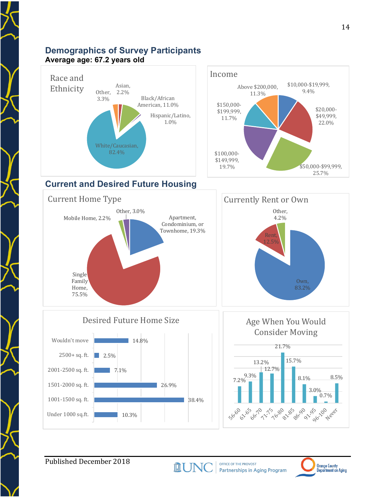#### **Demographics of Survey Participants Average age: 67.2 years old**





## **Current and Desired Future Housing**











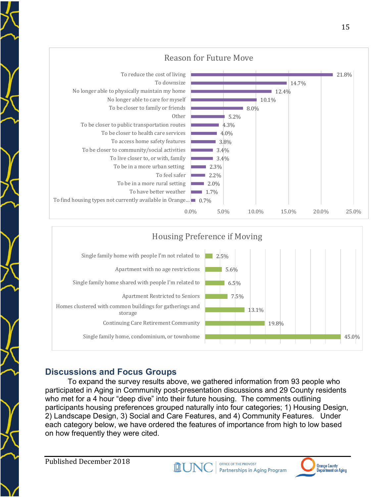



## **Discussions and Focus Groups**

To expand the survey results above, we gathered information from 93 people who participated in Aging in Community post-presentation discussions and 29 County residents who met for a 4 hour "deep dive" into their future housing. The comments outlining participants housing preferences grouped naturally into four categories; 1) Housing Design, 2) Landscape Design, 3) Social and Care Features, and 4) Community Features. Under each category below, we have ordered the features of importance from high to low based on how frequently they were cited.

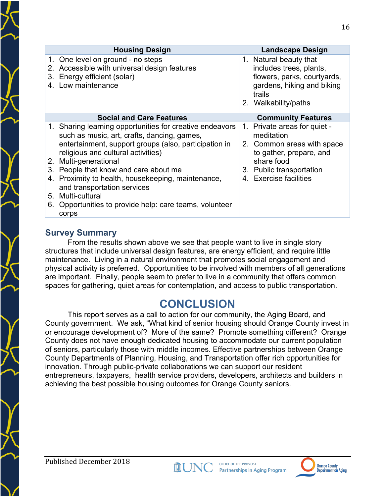|                | <b>Housing Design</b>                                                                                                                                                                                                                                                                                                                                                                                                                         | Landscape Design                                                                                                                                                        |
|----------------|-----------------------------------------------------------------------------------------------------------------------------------------------------------------------------------------------------------------------------------------------------------------------------------------------------------------------------------------------------------------------------------------------------------------------------------------------|-------------------------------------------------------------------------------------------------------------------------------------------------------------------------|
| 2.<br>3.       | 1. One level on ground - no steps<br>Accessible with universal design features<br>Energy efficient (solar)<br>4. Low maintenance                                                                                                                                                                                                                                                                                                              | 1. Natural beauty that<br>includes trees, plants,<br>flowers, parks, courtyards,<br>gardens, hiking and biking<br>trails<br>2. Walkability/paths                        |
|                | <b>Social and Care Features</b>                                                                                                                                                                                                                                                                                                                                                                                                               | <b>Community Features</b>                                                                                                                                               |
| 3.<br>5.<br>6. | 1. Sharing learning opportunities for creative endeavors<br>such as music, art, crafts, dancing, games,<br>entertainment, support groups (also, participation in<br>religious and cultural activities)<br>2. Multi-generational<br>People that know and care about me<br>4. Proximity to health, housekeeping, maintenance,<br>and transportation services<br>Multi-cultural<br>Opportunities to provide help: care teams, volunteer<br>corps | 1. Private areas for quiet -<br>meditation<br>2. Common areas with space<br>to gather, prepare, and<br>share food<br>3. Public transportation<br>4. Exercise facilities |

#### **Survey Summary**

From the results shown above we see that people want to live in single story structures that include universal design features, are energy efficient, and require little maintenance. Living in a natural environment that promotes social engagement and physical activity is preferred. Opportunities to be involved with members of all generations are important. Finally, people seem to prefer to live in a community that offers common spaces for gathering, quiet areas for contemplation, and access to public transportation.

## **CONCLUSION**

This report serves as a call to action for our community, the Aging Board, and County government. We ask, "What kind of senior housing should Orange County invest in or encourage development of? More of the same? Promote something different? Orange County does not have enough dedicated housing to accommodate our current population of seniors, particularly those with middle incomes. Effective partnerships between Orange County Departments of Planning, Housing, and Transportation offer rich opportunities for innovation. Through public-private collaborations we can support our resident entrepreneurs, taxpayers, health service providers, developers, architects and builders in achieving the best possible housing outcomes for Orange County seniors.

**MUNO** 

OFFICE OF THE PROVOST

**Partnerships in Aging Program**